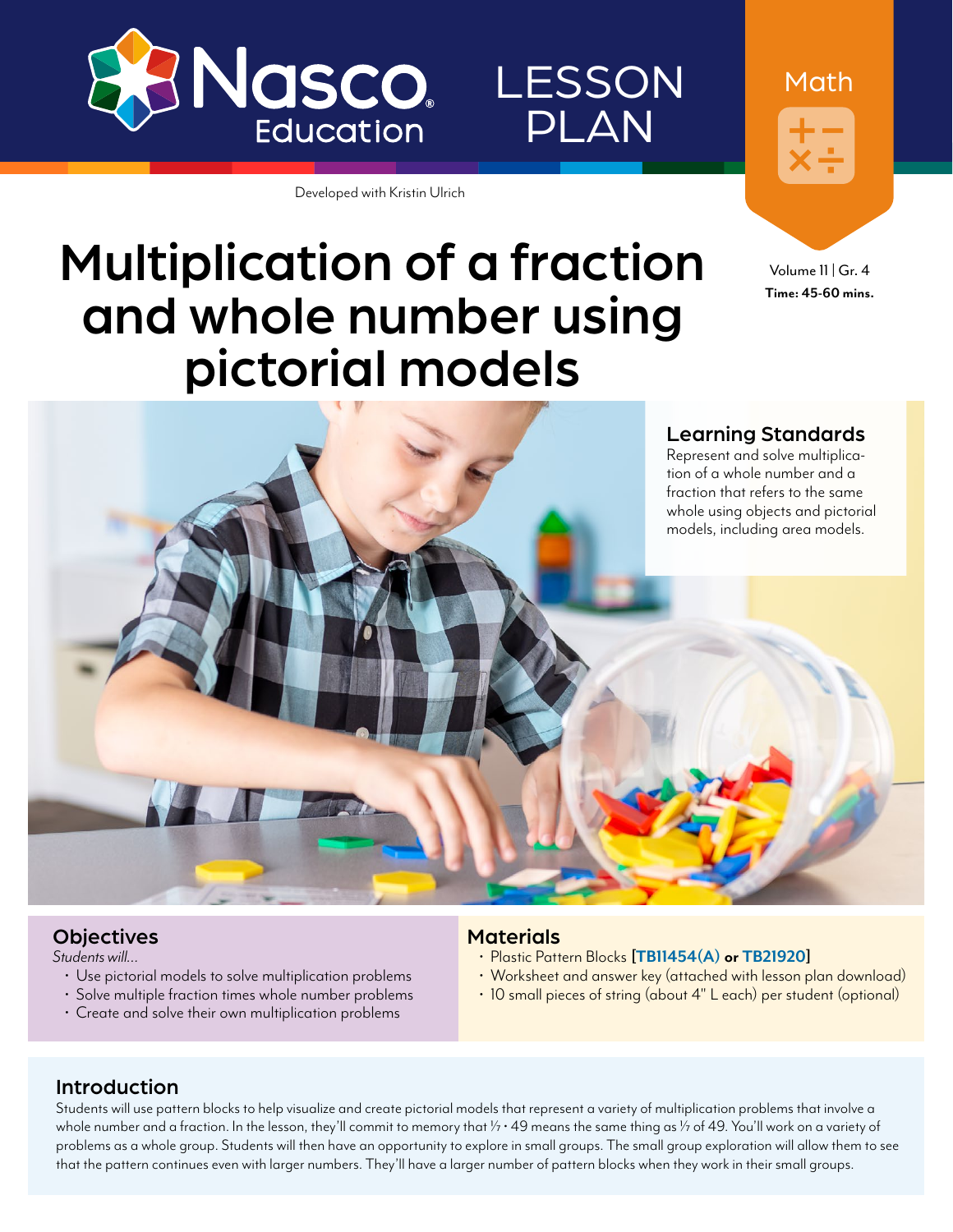

PLAN

LESSON

Developed with Kristin Ulrich

Math

Volume 11 | Gr. 4 **Time: 45-60 mins.**

## Multiplication of a fraction and whole number using pictorial models



#### **Objectives**

*Students will…*

- 
- Use pictorial models to solve multiplication problems Solve multiple fraction times whole number problems Create and solve their own multiplication problems
- 

#### **Materials**

- 
- Plastic Pattern Blocks **[\[TB11454\(A\)](http://www.enasco.com/p/TB11454(A)) or [TB21920\]](http://www.enasco.com/p/TB21920)**<br>• Worksheet and answer key (attached with lesson plan download)<br>• 10 small pieces of string (about 4" L each) per student (optional)
- 

#### Introduction

Students will use pattern blocks to help visualize and create pictorial models that represent a variety of multiplication problems that involve a whole number and a fraction. In the lesson, they'll commit to memory that  $\frac{1}{7} \cdot 49$  means the same thing as  $\frac{1}{7}$  of 49. You'll work on a variety of problems as a whole group. Students will then have an opportunity to explore in small groups. The small group exploration will allow them to see that the pattern continues even with larger numbers. They'll have a larger number of pattern blocks when they work in their small groups.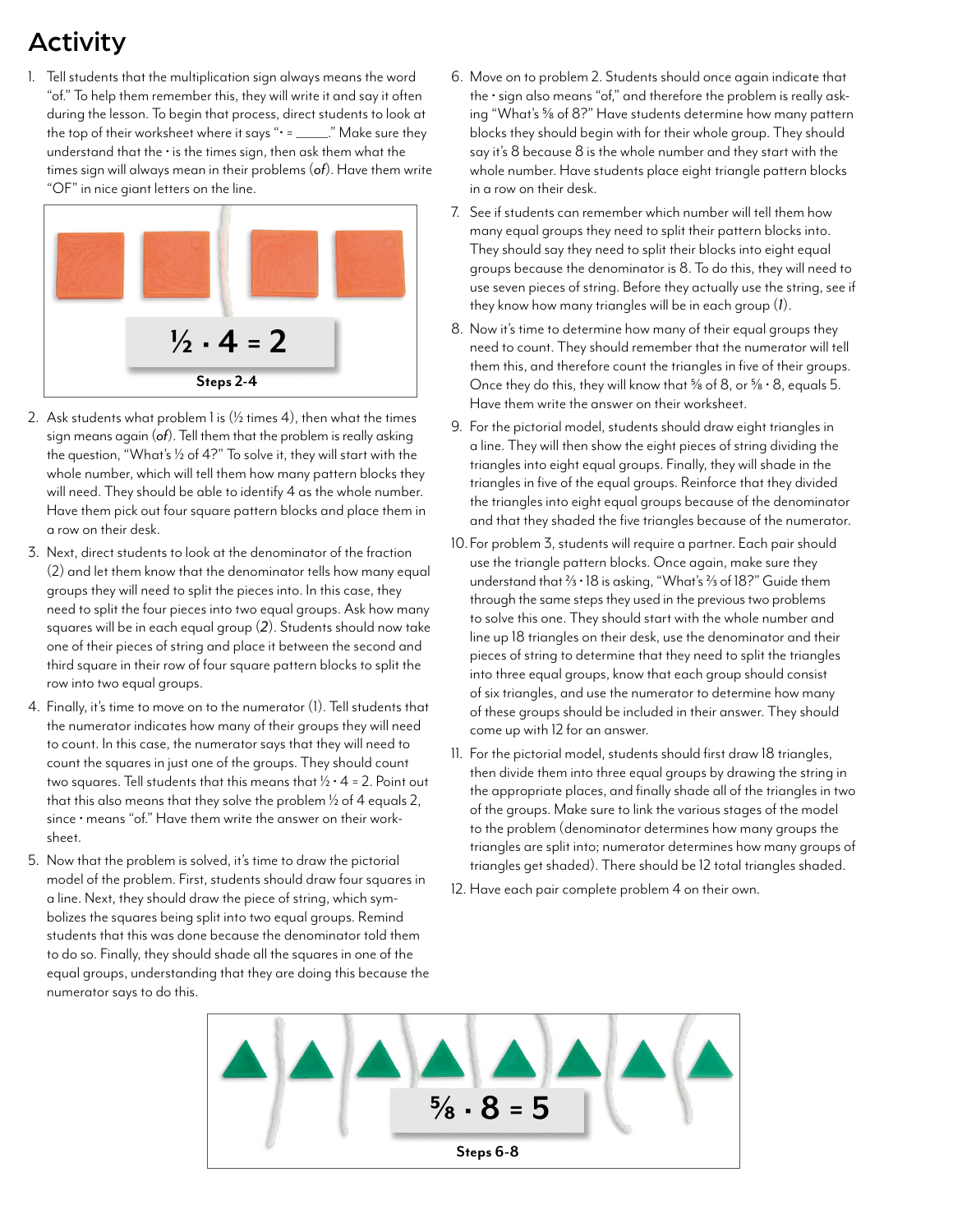## Activity

1. Tell students that the multiplication sign always means the word "of." To help them remember this, they will write it and say it often during the lesson. To begin that process, direct students to look at the top of their worksheet where it says "• = \_\_\_\_\_\_." Make sure they understand that the  $\cdot$  is the times sign, then ask them what the times sign will always mean in their problems (*of*). Have them write "OF" in nice giant letters on the line.



- 2. Ask students what problem 1 is  $(V_2$  times 4), then what the times sign means again (*of*). Tell them that the problem is really asking the question, "What's  $\frac{1}{2}$  of 4?" To solve it, they will start with the whole number, which will tell them how many pattern blocks they will need. They should be able to identify 4 as the whole number. Have them pick out four square pattern blocks and place them in a row on their desk.
- 3. Next, direct students to look at the denominator of the fraction (2) and let them know that the denominator tells how many equal groups they will need to split the pieces into. In this case, they need to split the four pieces into two equal groups. Ask how many squares will be in each equal group (*2*). Students should now take one of their pieces of string and place it between the second and third square in their row of four square pattern blocks to split the row into two equal groups.
- 4. Finally, it's time to move on to the numerator (1). Tell students that the numerator indicates how many of their groups they will need to count. In this case, the numerator says that they will need to count the squares in just one of the groups. They should count two squares. Tell students that this means that  $\frac{1}{2} \cdot 4 = 2$ . Point out that this also means that they solve the problem  $\frac{1}{2}$  of 4 equals 2, since • means "of." Have them write the answer on their worksheet.
- 5. Now that the problem is solved, it's time to draw the pictorial model of the problem. First, students should draw four squares in a line. Next, they should draw the piece of string, which symbolizes the squares being split into two equal groups. Remind students that this was done because the denominator told them to do so. Finally, they should shade all the squares in one of the equal groups, understanding that they are doing this because the numerator says to do this.
- 6. Move on to problem 2. Students should once again indicate that the • sign also means "of," and therefore the problem is really asking "What's 5/8 of 8?" Have students determine how many pattern blocks they should begin with for their whole group. They should say it's 8 because 8 is the whole number and they start with the whole number. Have students place eight triangle pattern blocks in a row on their desk.
- 7. See if students can remember which number will tell them how many equal groups they need to split their pattern blocks into. They should say they need to split their blocks into eight equal groups because the denominator is 8. To do this, they will need to use seven pieces of string. Before they actually use the string, see if they know how many triangles will be in each group (*1*).
- 8. Now it's time to determine how many of their equal groups they need to count. They should remember that the numerator will tell them this, and therefore count the triangles in five of their groups. Once they do this, they will know that  $\frac{5}{8}$  of 8, or  $\frac{5}{8} \cdot 8$ , equals 5. Have them write the answer on their worksheet.
- 9. For the pictorial model, students should draw eight triangles in a line. They will then show the eight pieces of string dividing the triangles into eight equal groups. Finally, they will shade in the triangles in five of the equal groups. Reinforce that they divided the triangles into eight equal groups because of the denominator and that they shaded the five triangles because of the numerator.
- 10. For problem 3, students will require a partner. Each pair should use the triangle pattern blocks. Once again, make sure they understand that  $\frac{2}{3}$   $\cdot$  18 is asking, "What's  $\frac{2}{3}$  of 18?" Guide them through the same steps they used in the previous two problems to solve this one. They should start with the whole number and line up 18 triangles on their desk, use the denominator and their pieces of string to determine that they need to split the triangles into three equal groups, know that each group should consist of six triangles, and use the numerator to determine how many of these groups should be included in their answer. They should come up with 12 for an answer.
- 11. For the pictorial model, students should first draw 18 triangles, then divide them into three equal groups by drawing the string in the appropriate places, and finally shade all of the triangles in two of the groups. Make sure to link the various stages of the model to the problem (denominator determines how many groups the triangles are split into; numerator determines how many groups of triangles get shaded). There should be 12 total triangles shaded.
- 12. Have each pair complete problem 4 on their own.

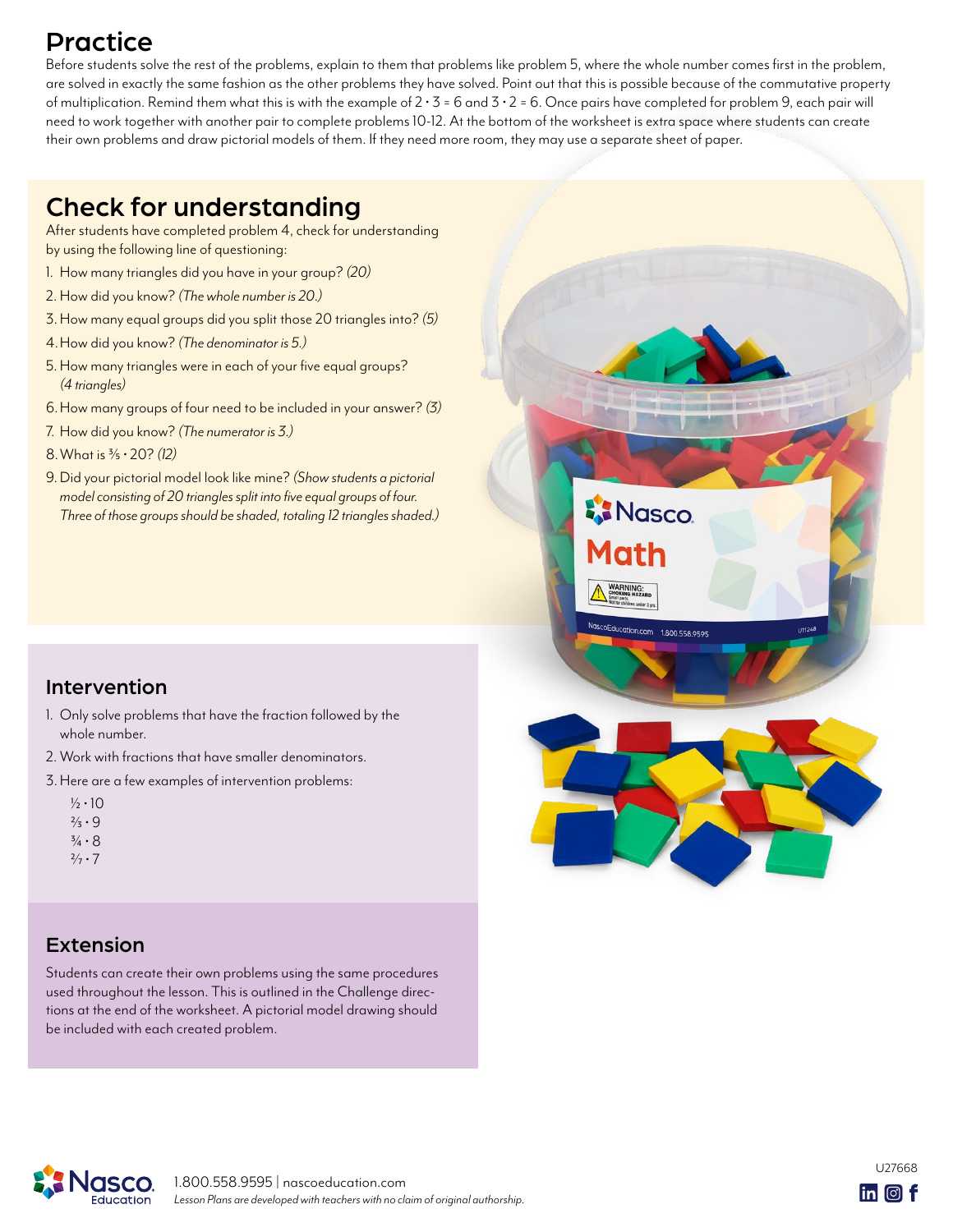## Practice

Before students solve the rest of the problems, explain to them that problems like problem 5, where the whole number comes first in the problem, are solved in exactly the same fashion as the other problems they have solved. Point out that this is possible because of the commutative property of multiplication. Remind them what this is with the example of  $2 \cdot 3 = 6$  and  $3 \cdot 2 = 6$ . Once pairs have completed for problem 9, each pair will need to work together with another pair to complete problems 10-12. At the bottom of the worksheet is extra space where students can create their own problems and draw pictorial models of them. If they need more room, they may use a separate sheet of paper.

## Check for understanding

After students have completed problem 4, check for understanding by using the following line of questioning:

- 1. How many triangles did you have in your group? *(20)*
- 2. How did you know? *(The whole number is 20.)*
- 3.How many equal groups did you split those 20 triangles into? *(5)*
- 4.How did you know? *(The denominator is 5.)*
- 5.How many triangles were in each of your five equal groups? *(4 triangles)*
- 6.How many groups of four need to be included in your answer? *(3)*
- 7. How did you know? *(The numerator is 3.)*
- 8.What is 3/5 20? *(12)*
- 9.Did your pictorial model look like mine? *(Show students a pictorial model consisting of 20 triangles split into five equal groups of four. Three of those groups should be shaded, totaling 12 triangles shaded.)*



**AN** Nasco

1ath

NascoEducation.com 1.800.558.9595

### Intervention

- 1. Only solve problems that have the fraction followed by the whole number.
- 2. Work with fractions that have smaller denominators.
- 3.Here are a few examples of intervention problems:

|  | ½•10                  |
|--|-----------------------|
|  | $\frac{2}{3} \cdot 9$ |

- $\frac{3}{4} \cdot 8$
- $2/7 \cdot 7$

### Extension

Students can create their own problems using the same procedures used throughout the lesson. This is outlined in the Challenge directions at the end of the worksheet. A pictorial model drawing should be included with each created problem.



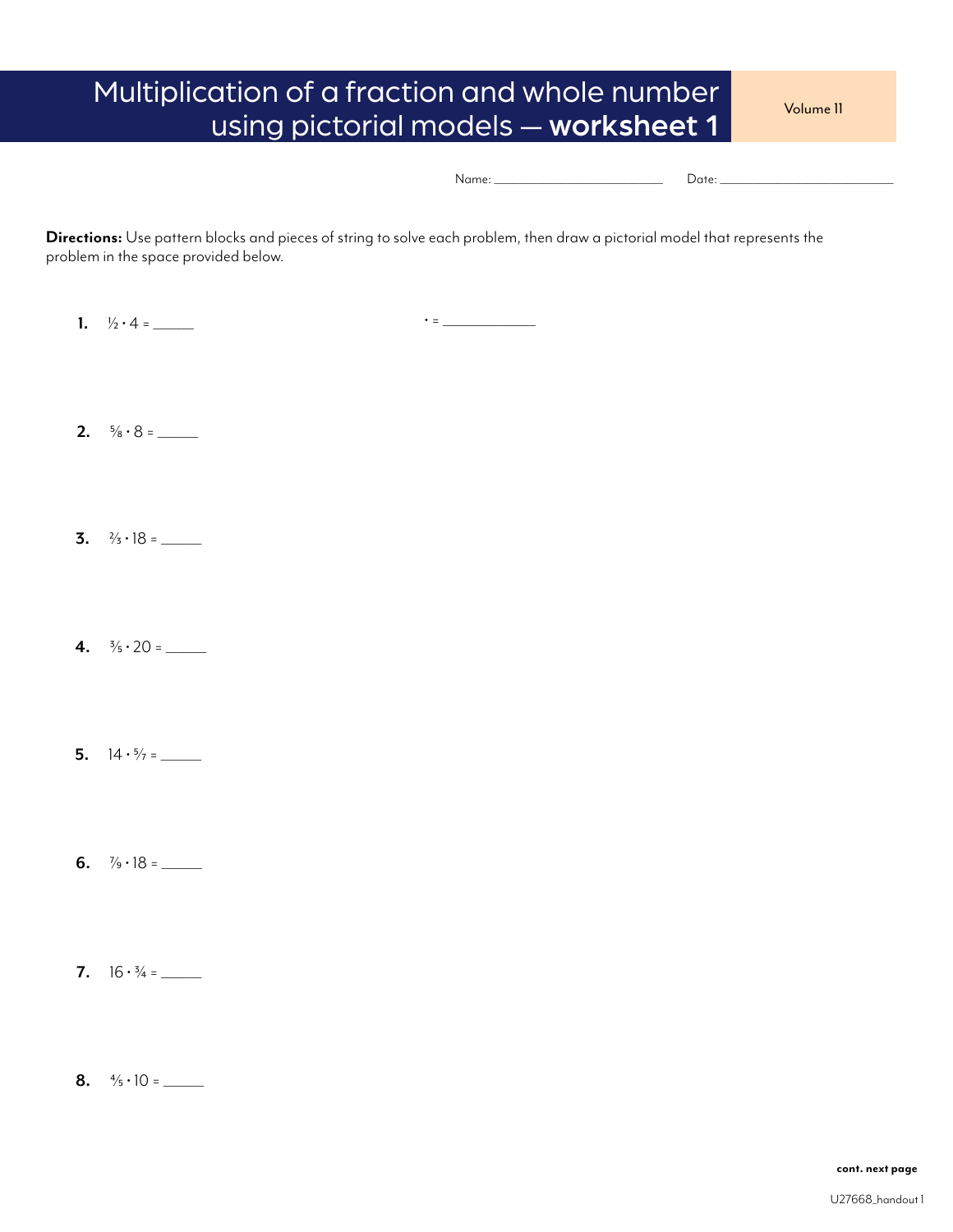## Multiplication of a fraction and whole number volume 11 using pictorial models — worksheet 1

| NI I |  |
|------|--|
|      |  |
|      |  |

**Directions:** Use pattern blocks and pieces of string to solve each problem, then draw a pictorial model that represents the problem in the space provided below.

**1.**  $\frac{1}{2} \cdot 4 =$ 

 $\bullet$  =  $\_\_\_\_\_\_\_\_\_$ 

- **2.**  $\frac{5}{8} \cdot 8 =$
- **3.**  $\frac{2}{3} \cdot 18 =$
- **4.**  $\frac{3}{5} \cdot 20 =$
- **5.**  $14 \cdot \frac{5}{7} =$
- **6.**  $\frac{7}{9} \cdot 18 =$
- **7.**  $16 \cdot \frac{3}{4} =$
- **8.**  $\frac{4}{5} \cdot 10 =$

**cont. next page**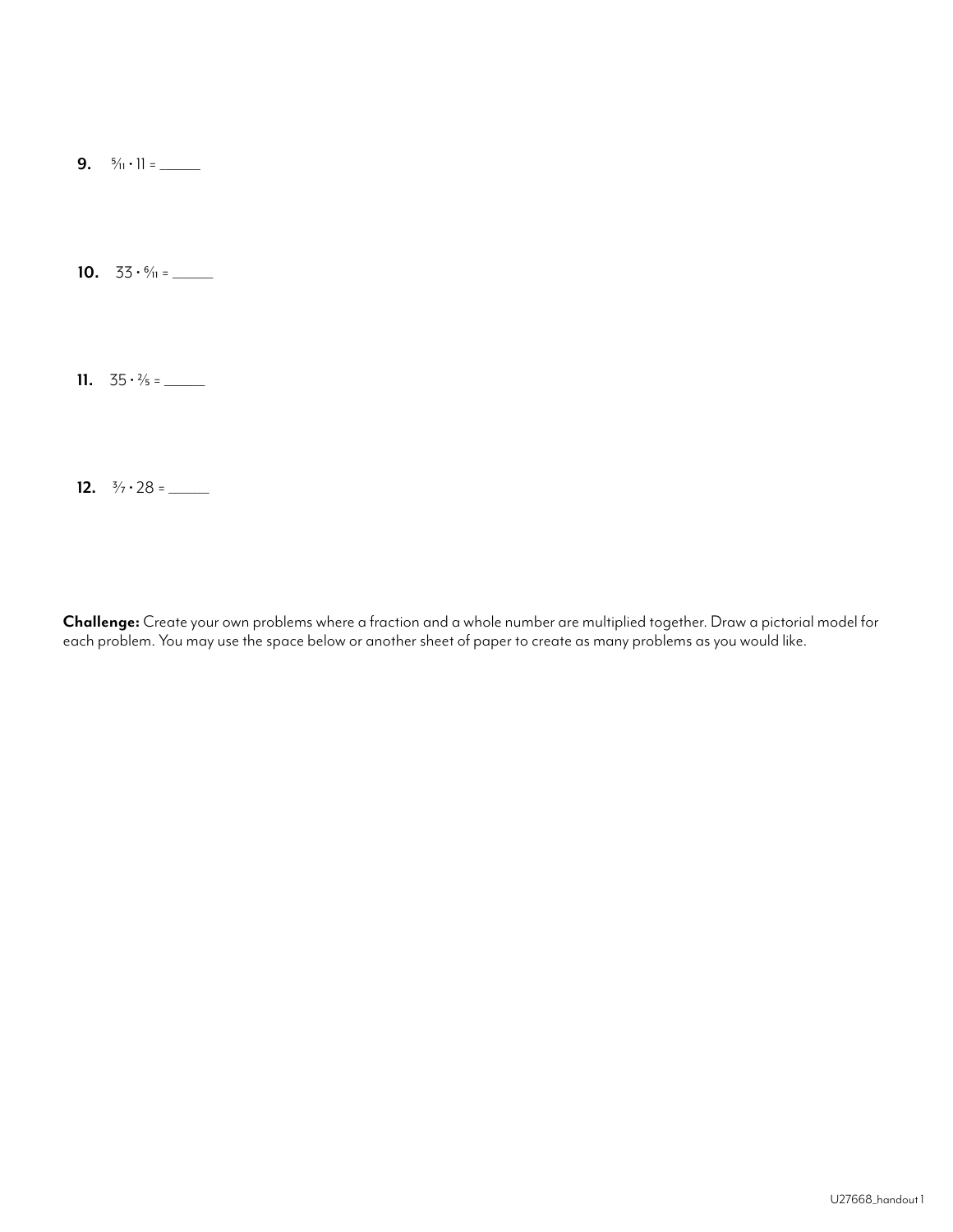**9.**  $\frac{5}{11} \cdot 11 =$ 

**10.**  $33 \cdot 6/11 =$ 

**11.**  $35 \cdot \frac{2}{5} =$ 

**12.**  $\frac{3}{7} \cdot 28 =$ 

**Challenge:** Create your own problems where a fraction and a whole number are multiplied together. Draw a pictorial model for each problem. You may use the space below or another sheet of paper to create as many problems as you would like.